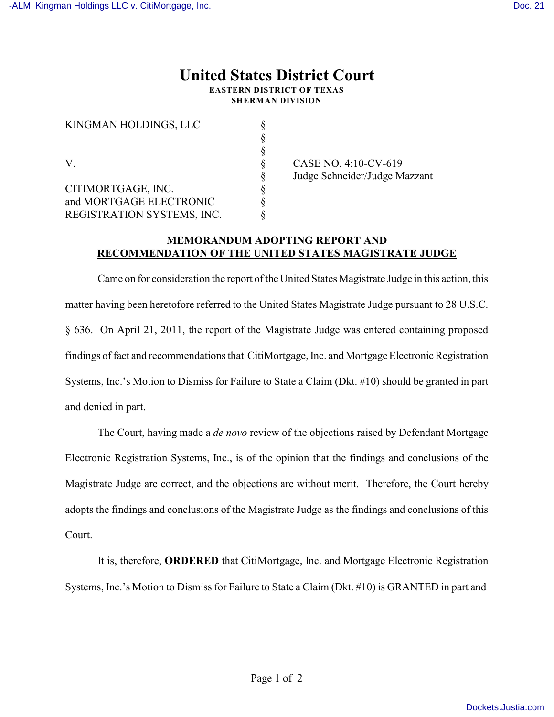## **United States District Court EASTERN DISTRICT OF TEXAS**

**SHERMAN DIVISION**

§

§

KINGMAN HOLDINGS, LLC  $\S$ 

V. S CASE NO. 4:10-CV-619 CITIMORTGAGE, INC. § and MORTGAGE ELECTRONIC REGISTRATION SYSTEMS, INC.  $\S$ 

§ Judge Schneider/Judge Mazzant<br>§<br>§

## **MEMORANDUM ADOPTING REPORT AND RECOMMENDATION OF THE UNITED STATES MAGISTRATE JUDGE**

Came on for consideration the report of the United States Magistrate Judge in this action, this matter having been heretofore referred to the United States Magistrate Judge pursuant to 28 U.S.C. § 636. On April 21, 2011, the report of the Magistrate Judge was entered containing proposed findings of fact and recommendations that CitiMortgage, Inc. and Mortgage ElectronicRegistration Systems, Inc.'s Motion to Dismiss for Failure to State a Claim (Dkt. #10) should be granted in part and denied in part.

The Court, having made a *de novo* review of the objections raised by Defendant Mortgage Electronic Registration Systems, Inc., is of the opinion that the findings and conclusions of the Magistrate Judge are correct, and the objections are without merit. Therefore, the Court hereby adopts the findings and conclusions of the Magistrate Judge as the findings and conclusions of this Court.

It is, therefore, **ORDERED** that CitiMortgage, Inc. and Mortgage Electronic Registration Systems, Inc.'s Motion to Dismiss for Failure to State a Claim (Dkt. #10) is GRANTED in part and